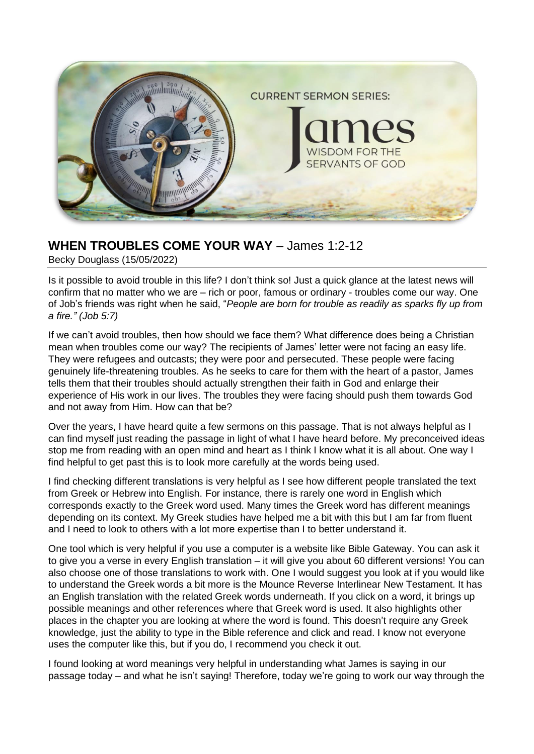

# **WHEN TROUBLES COME YOUR WAY** – James 1:2-12

Becky Douglass (15/05/2022)

Is it possible to avoid trouble in this life? I don't think so! Just a quick glance at the latest news will confirm that no matter who we are – rich or poor, famous or ordinary - troubles come our way. One of Job's friends was right when he said, "*People are born for trouble as readily as sparks fly up from a fire." (Job 5:7)*

If we can't avoid troubles, then how should we face them? What difference does being a Christian mean when troubles come our way? The recipients of James' letter were not facing an easy life. They were refugees and outcasts; they were poor and persecuted. These people were facing genuinely life-threatening troubles. As he seeks to care for them with the heart of a pastor, James tells them that their troubles should actually strengthen their faith in God and enlarge their experience of His work in our lives. The troubles they were facing should push them towards God and not away from Him. How can that be?

Over the years, I have heard quite a few sermons on this passage. That is not always helpful as I can find myself just reading the passage in light of what I have heard before. My preconceived ideas stop me from reading with an open mind and heart as I think I know what it is all about. One way I find helpful to get past this is to look more carefully at the words being used.

I find checking different translations is very helpful as I see how different people translated the text from Greek or Hebrew into English. For instance, there is rarely one word in English which corresponds exactly to the Greek word used. Many times the Greek word has different meanings depending on its context. My Greek studies have helped me a bit with this but I am far from fluent and I need to look to others with a lot more expertise than I to better understand it.

One tool which is very helpful if you use a computer is a website like Bible Gateway. You can ask it to give you a verse in every English translation – it will give you about 60 different versions! You can also choose one of those translations to work with. One I would suggest you look at if you would like to understand the Greek words a bit more is the Mounce Reverse Interlinear New Testament. It has an English translation with the related Greek words underneath. If you click on a word, it brings up possible meanings and other references where that Greek word is used. It also highlights other places in the chapter you are looking at where the word is found. This doesn't require any Greek knowledge, just the ability to type in the Bible reference and click and read. I know not everyone uses the computer like this, but if you do, I recommend you check it out.

I found looking at word meanings very helpful in understanding what James is saying in our passage today – and what he isn't saying! Therefore, today we're going to work our way through the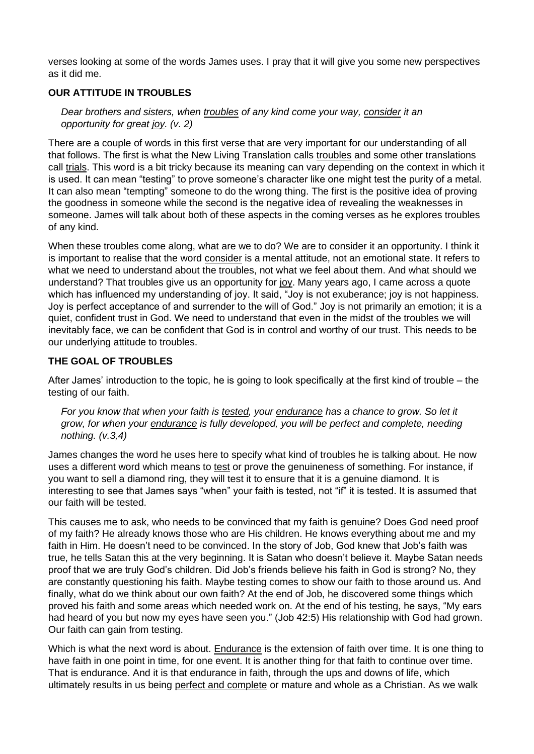verses looking at some of the words James uses. I pray that it will give you some new perspectives as it did me.

## **OUR ATTITUDE IN TROUBLES**

*Dear brothers and sisters, when troubles of any kind come your way, consider it an opportunity for great joy. (v. 2)*

There are a couple of words in this first verse that are very important for our understanding of all that follows. The first is what the New Living Translation calls troubles and some other translations call trials. This word is a bit tricky because its meaning can vary depending on the context in which it is used. It can mean "testing" to prove someone's character like one might test the purity of a metal. It can also mean "tempting" someone to do the wrong thing. The first is the positive idea of proving the goodness in someone while the second is the negative idea of revealing the weaknesses in someone. James will talk about both of these aspects in the coming verses as he explores troubles of any kind.

When these troubles come along, what are we to do? We are to consider it an opportunity. I think it is important to realise that the word consider is a mental attitude, not an emotional state. It refers to what we need to understand about the troubles, not what we feel about them. And what should we understand? That troubles give us an opportunity for joy. Many years ago, I came across a quote which has influenced my understanding of joy. It said, "Joy is not exuberance; joy is not happiness. Joy is perfect acceptance of and surrender to the will of God." Joy is not primarily an emotion; it is a quiet, confident trust in God. We need to understand that even in the midst of the troubles we will inevitably face, we can be confident that God is in control and worthy of our trust. This needs to be our underlying attitude to troubles.

## **THE GOAL OF TROUBLES**

After James' introduction to the topic, he is going to look specifically at the first kind of trouble – the testing of our faith.

*For you know that when your faith is tested, your endurance has a chance to grow. So let it grow, for when your endurance is fully developed, you will be perfect and complete, needing nothing. (v.3,4)*

James changes the word he uses here to specify what kind of troubles he is talking about. He now uses a different word which means to test or prove the genuineness of something. For instance, if you want to sell a diamond ring, they will test it to ensure that it is a genuine diamond. It is interesting to see that James says "when" your faith is tested, not "if" it is tested. It is assumed that our faith will be tested.

This causes me to ask, who needs to be convinced that my faith is genuine? Does God need proof of my faith? He already knows those who are His children. He knows everything about me and my faith in Him. He doesn't need to be convinced. In the story of Job, God knew that Job's faith was true, he tells Satan this at the very beginning. It is Satan who doesn't believe it. Maybe Satan needs proof that we are truly God's children. Did Job's friends believe his faith in God is strong? No, they are constantly questioning his faith. Maybe testing comes to show our faith to those around us. And finally, what do we think about our own faith? At the end of Job, he discovered some things which proved his faith and some areas which needed work on. At the end of his testing, he says, "My ears had heard of you but now my eyes have seen you." (Job 42:5) His relationship with God had grown. Our faith can gain from testing.

Which is what the next word is about. Endurance is the extension of faith over time. It is one thing to have faith in one point in time, for one event. It is another thing for that faith to continue over time. That is endurance. And it is that endurance in faith, through the ups and downs of life, which ultimately results in us being perfect and complete or mature and whole as a Christian. As we walk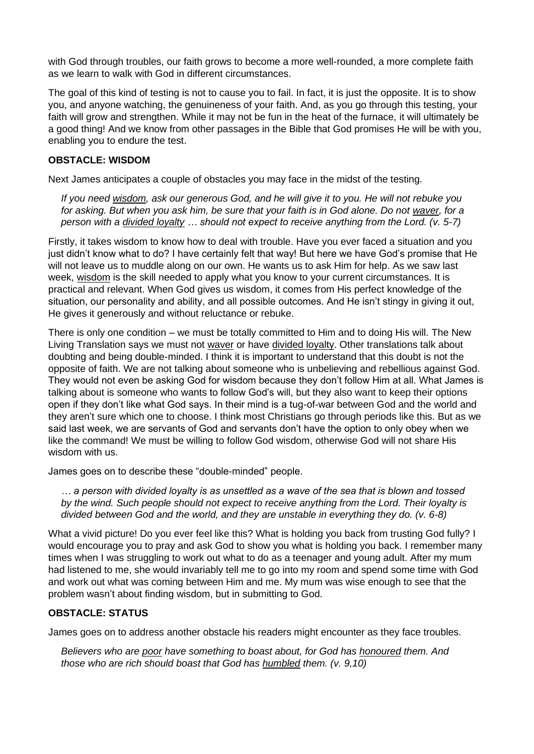with God through troubles, our faith grows to become a more well-rounded, a more complete faith as we learn to walk with God in different circumstances.

The goal of this kind of testing is not to cause you to fail. In fact, it is just the opposite. It is to show you, and anyone watching, the genuineness of your faith. And, as you go through this testing, your faith will grow and strengthen. While it may not be fun in the heat of the furnace, it will ultimately be a good thing! And we know from other passages in the Bible that God promises He will be with you, enabling you to endure the test.

#### **OBSTACLE: WISDOM**

Next James anticipates a couple of obstacles you may face in the midst of the testing.

*If you need wisdom, ask our generous God, and he will give it to you. He will not rebuke you for asking. But when you ask him, be sure that your faith is in God alone. Do not waver, for a person with a divided loyalty … should not expect to receive anything from the Lord. (v. 5-7)*

Firstly, it takes wisdom to know how to deal with trouble. Have you ever faced a situation and you just didn't know what to do? I have certainly felt that way! But here we have God's promise that He will not leave us to muddle along on our own. He wants us to ask Him for help. As we saw last week, wisdom is the skill needed to apply what you know to your current circumstances. It is practical and relevant. When God gives us wisdom, it comes from His perfect knowledge of the situation, our personality and ability, and all possible outcomes. And He isn't stingy in giving it out, He gives it generously and without reluctance or rebuke.

There is only one condition – we must be totally committed to Him and to doing His will. The New Living Translation says we must not waver or have divided loyalty. Other translations talk about doubting and being double-minded. I think it is important to understand that this doubt is not the opposite of faith. We are not talking about someone who is unbelieving and rebellious against God. They would not even be asking God for wisdom because they don't follow Him at all. What James is talking about is someone who wants to follow God's will, but they also want to keep their options open if they don't like what God says. In their mind is a tug-of-war between God and the world and they aren't sure which one to choose. I think most Christians go through periods like this. But as we said last week, we are servants of God and servants don't have the option to only obey when we like the command! We must be willing to follow God wisdom, otherwise God will not share His wisdom with us.

James goes on to describe these "double-minded" people.

*… a person with divided loyalty is as unsettled as a wave of the sea that is blown and tossed by the wind. Such people should not expect to receive anything from the Lord. Their loyalty is divided between God and the world, and they are unstable in everything they do. (v. 6-8)*

What a vivid picture! Do you ever feel like this? What is holding you back from trusting God fully? I would encourage you to pray and ask God to show you what is holding you back. I remember many times when I was struggling to work out what to do as a teenager and young adult. After my mum had listened to me, she would invariably tell me to go into my room and spend some time with God and work out what was coming between Him and me. My mum was wise enough to see that the problem wasn't about finding wisdom, but in submitting to God.

## **OBSTACLE: STATUS**

James goes on to address another obstacle his readers might encounter as they face troubles.

*Believers who are poor have something to boast about, for God has honoured them. And those who are rich should boast that God has humbled them. (v. 9,10)*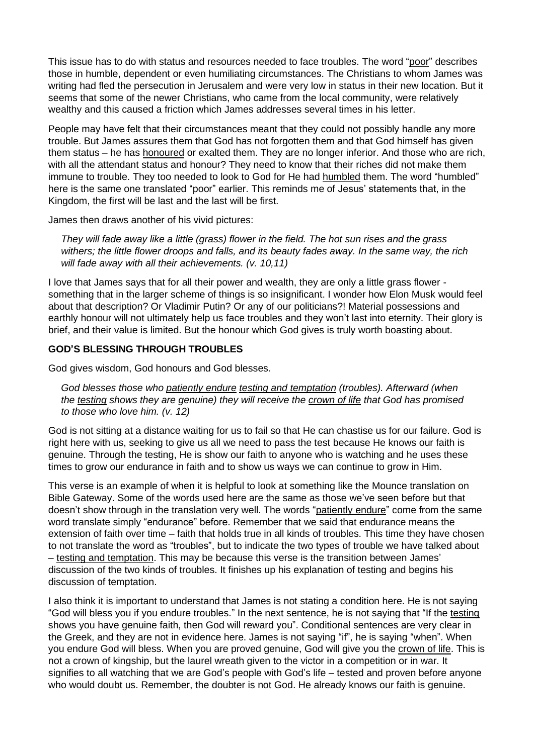This issue has to do with status and resources needed to face troubles. The word "poor" describes those in humble, dependent or even humiliating circumstances. The Christians to whom James was writing had fled the persecution in Jerusalem and were very low in status in their new location. But it seems that some of the newer Christians, who came from the local community, were relatively wealthy and this caused a friction which James addresses several times in his letter.

People may have felt that their circumstances meant that they could not possibly handle any more trouble. But James assures them that God has not forgotten them and that God himself has given them status – he has honoured or exalted them. They are no longer inferior. And those who are rich, with all the attendant status and honour? They need to know that their riches did not make them immune to trouble. They too needed to look to God for He had humbled them. The word "humbled" here is the same one translated "poor" earlier. This reminds me of Jesus' statements that, in the Kingdom, the first will be last and the last will be first.

James then draws another of his vivid pictures:

*They will fade away like a little (grass) flower in the field. The hot sun rises and the grass withers; the little flower droops and falls, and its beauty fades away. In the same way, the rich will fade away with all their achievements. (v. 10,11)*

I love that James says that for all their power and wealth, they are only a little grass flower something that in the larger scheme of things is so insignificant. I wonder how Elon Musk would feel about that description? Or Vladimir Putin? Or any of our politicians?! Material possessions and earthly honour will not ultimately help us face troubles and they won't last into eternity. Their glory is brief, and their value is limited. But the honour which God gives is truly worth boasting about.

#### **GOD'S BLESSING THROUGH TROUBLES**

God gives wisdom, God honours and God blesses.

*God blesses those who patiently endure testing and temptation (troubles). Afterward (when the testing shows they are genuine) they will receive the crown of life that God has promised to those who love him. (v. 12)*

God is not sitting at a distance waiting for us to fail so that He can chastise us for our failure. God is right here with us, seeking to give us all we need to pass the test because He knows our faith is genuine. Through the testing, He is show our faith to anyone who is watching and he uses these times to grow our endurance in faith and to show us ways we can continue to grow in Him.

This verse is an example of when it is helpful to look at something like the Mounce translation on Bible Gateway. Some of the words used here are the same as those we've seen before but that doesn't show through in the translation very well. The words "patiently endure" come from the same word translate simply "endurance" before. Remember that we said that endurance means the extension of faith over time – faith that holds true in all kinds of troubles. This time they have chosen to not translate the word as "troubles", but to indicate the two types of trouble we have talked about – testing and temptation. This may be because this verse is the transition between James' discussion of the two kinds of troubles. It finishes up his explanation of testing and begins his discussion of temptation.

I also think it is important to understand that James is not stating a condition here. He is not saying "God will bless you if you endure troubles." In the next sentence, he is not saying that "If the testing shows you have genuine faith, then God will reward you". Conditional sentences are very clear in the Greek, and they are not in evidence here. James is not saying "if", he is saying "when". When you endure God will bless. When you are proved genuine, God will give you the crown of life. This is not a crown of kingship, but the laurel wreath given to the victor in a competition or in war. It signifies to all watching that we are God's people with God's life – tested and proven before anyone who would doubt us. Remember, the doubter is not God. He already knows our faith is genuine.